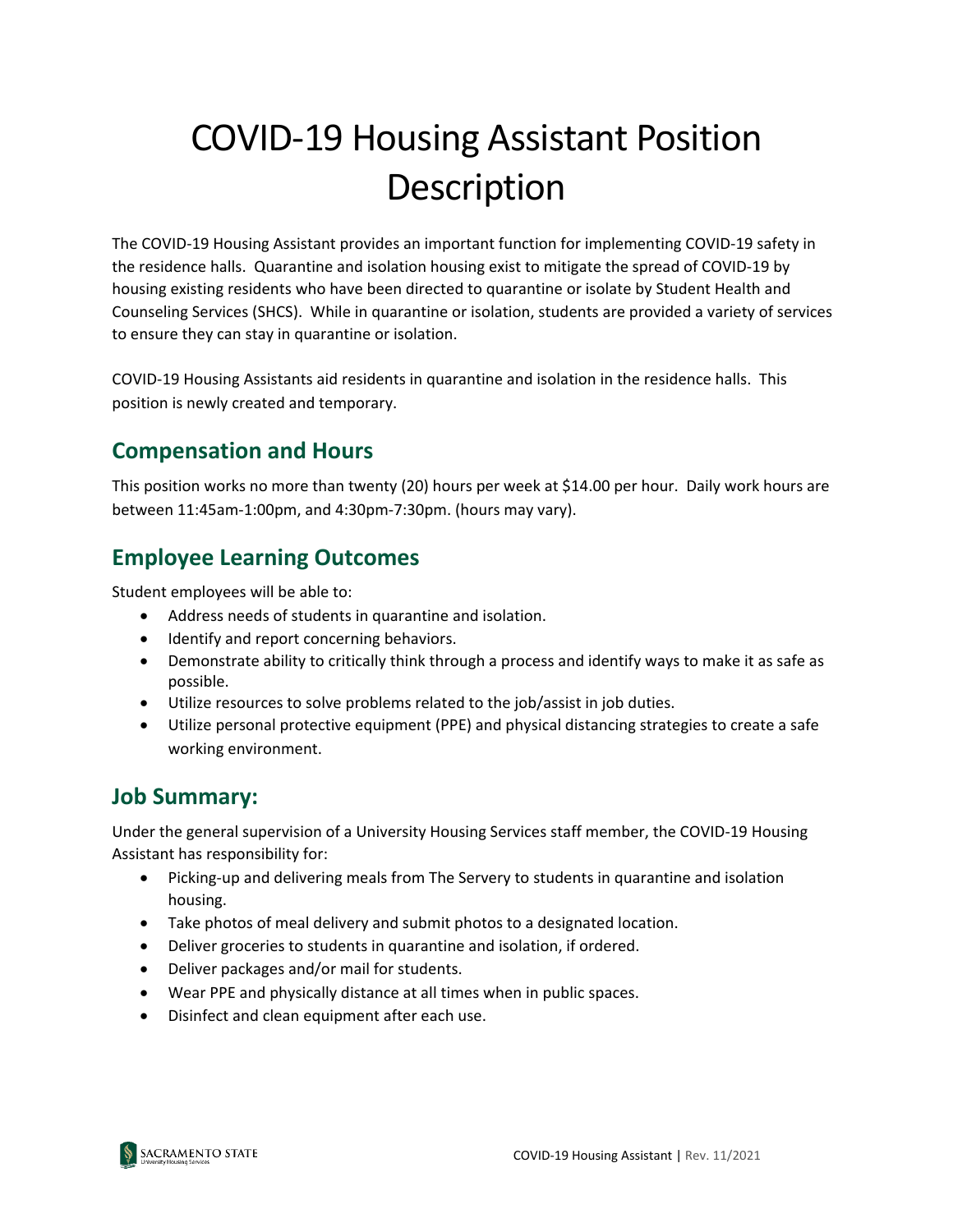# COVID-19 Housing Assistant Position Description

The COVID-19 Housing Assistant provides an important function for implementing COVID-19 safety in the residence halls. Quarantine and isolation housing exist to mitigate the spread of COVID-19 by housing existing residents who have been directed to quarantine or isolate by Student Health and Counseling Services (SHCS). While in quarantine or isolation, students are provided a variety of services to ensure they can stay in quarantine or isolation.

COVID-19 Housing Assistants aid residents in quarantine and isolation in the residence halls. This position is newly created and temporary.

### **Compensation and Hours**

This position works no more than twenty (20) hours per week at \$14.00 per hour. Daily work hours are between 11:45am-1:00pm, and 4:30pm-7:30pm. (hours may vary).

## **Employee Learning Outcomes**

Student employees will be able to:

- Address needs of students in quarantine and isolation.
- Identify and report concerning behaviors.
- Demonstrate ability to critically think through a process and identify ways to make it as safe as possible.
- Utilize resources to solve problems related to the job/assist in job duties.
- Utilize personal protective equipment (PPE) and physical distancing strategies to create a safe working environment.

#### **Job Summary:**

Under the general supervision of a University Housing Services staff member, the COVID-19 Housing Assistant has responsibility for:

- Picking-up and delivering meals from The Servery to students in quarantine and isolation housing.
- Take photos of meal delivery and submit photos to a designated location.
- Deliver groceries to students in quarantine and isolation, if ordered.
- Deliver packages and/or mail for students.
- Wear PPE and physically distance at all times when in public spaces.
- Disinfect and clean equipment after each use.